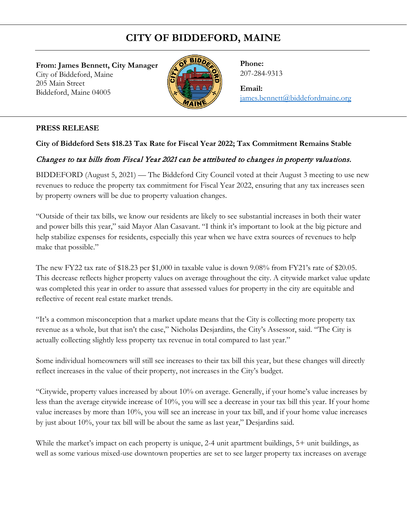## **CITY OF BIDDEFORD, MAINE**

**From: James Bennett, City Manager**  City of Biddeford, Maine 205 Main Street Biddeford, Maine 04005



**Phone:** 207-284-9313

**Email:** [james.bennett@biddefordmaine.org](mailto:james.bennett@biddefordmaine.org)

## **PRESS RELEASE**

## **City of Biddeford Sets \$18.23 Tax Rate for Fiscal Year 2022; Tax Commitment Remains Stable**

## Changes to tax bills from Fiscal Year 2021 can be attributed to changes in property valuations.

BIDDEFORD (August 5, 2021) — The Biddeford City Council voted at their August 3 meeting to use new revenues to reduce the property tax commitment for Fiscal Year 2022, ensuring that any tax increases seen by property owners will be due to property valuation changes.

"Outside of their tax bills, we know our residents are likely to see substantial increases in both their water and power bills this year," said Mayor Alan Casavant. "I think it's important to look at the big picture and help stabilize expenses for residents, especially this year when we have extra sources of revenues to help make that possible."

The new FY22 tax rate of \$18.23 per \$1,000 in taxable value is down 9.08% from FY21's rate of \$20.05. This decrease reflects higher property values on average throughout the city. A citywide market value update was completed this year in order to assure that assessed values for property in the city are equitable and reflective of recent real estate market trends.

"It's a common misconception that a market update means that the City is collecting more property tax revenue as a whole, but that isn't the case," Nicholas Desjardins, the City's Assessor, said. "The City is actually collecting slightly less property tax revenue in total compared to last year."

Some individual homeowners will still see increases to their tax bill this year, but these changes will directly reflect increases in the value of their property, not increases in the City's budget.

"Citywide, property values increased by about 10% on average. Generally, if your home's value increases by less than the average citywide increase of 10%, you will see a decrease in your tax bill this year. If your home value increases by more than 10%, you will see an increase in your tax bill, and if your home value increases by just about 10%, your tax bill will be about the same as last year," Desjardins said.

While the market's impact on each property is unique, 2-4 unit apartment buildings, 5+ unit buildings, as well as some various mixed-use downtown properties are set to see larger property tax increases on average